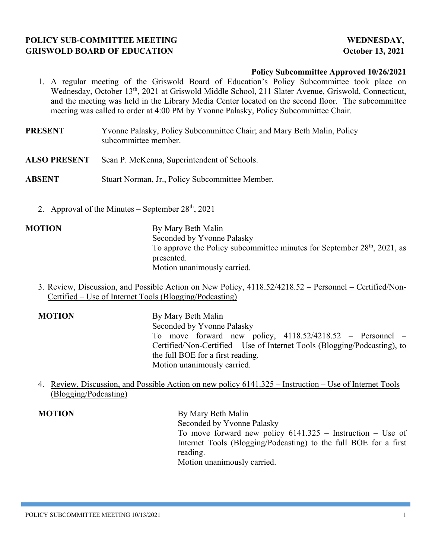# **POLICY SUB-COMMITTEE MEETING WEDNESDAY, GRISWOLD BOARD OF EDUCATION CONSUMING A SET ALCOHOLY 13, 2021**

## **Policy Subcommittee Approved 10/26/2021**

- 1. A regular meeting of the Griswold Board of Education's Policy Subcommittee took place on Wednesday, October 13<sup>th</sup>, 2021 at Griswold Middle School, 211 Slater Avenue, Griswold, Connecticut, and the meeting was held in the Library Media Center located on the second floor. The subcommittee meeting was called to order at 4:00 PM by Yvonne Palasky, Policy Subcommittee Chair.
- **PRESENT** Yvonne Palasky, Policy Subcommittee Chair; and Mary Beth Malin, Policy subcommittee member.
- **ALSO PRESENT** Sean P. McKenna, Superintendent of Schools.
- **ABSENT** Stuart Norman, Jr., Policy Subcommittee Member.
	- 2. Approval of the Minutes September  $28<sup>th</sup>$ , 2021

**MOTION** By Mary Beth Malin Seconded by Yvonne Palasky To approve the Policy subcommittee minutes for September  $28<sup>th</sup>$ ,  $2021$ , as presented. Motion unanimously carried.

3. Review, Discussion, and Possible Action on New Policy, 4118.52/4218.52 – Personnel – Certified/Non-Certified – Use of Internet Tools (Blogging/Podcasting)

**MOTION** By Mary Beth Malin Seconded by Yvonne Palasky To move forward new policy, 4118.52/4218.52 – Personnel – Certified/Non-Certified – Use of Internet Tools (Blogging/Podcasting), to the full BOE for a first reading. Motion unanimously carried.

4. Review, Discussion, and Possible Action on new policy 6141.325 – Instruction – Use of Internet Tools (Blogging/Podcasting)

**MOTION** By Mary Beth Malin Seconded by Yvonne Palasky To move forward new policy 6141.325 – Instruction – Use of Internet Tools (Blogging/Podcasting) to the full BOE for a first reading. Motion unanimously carried.